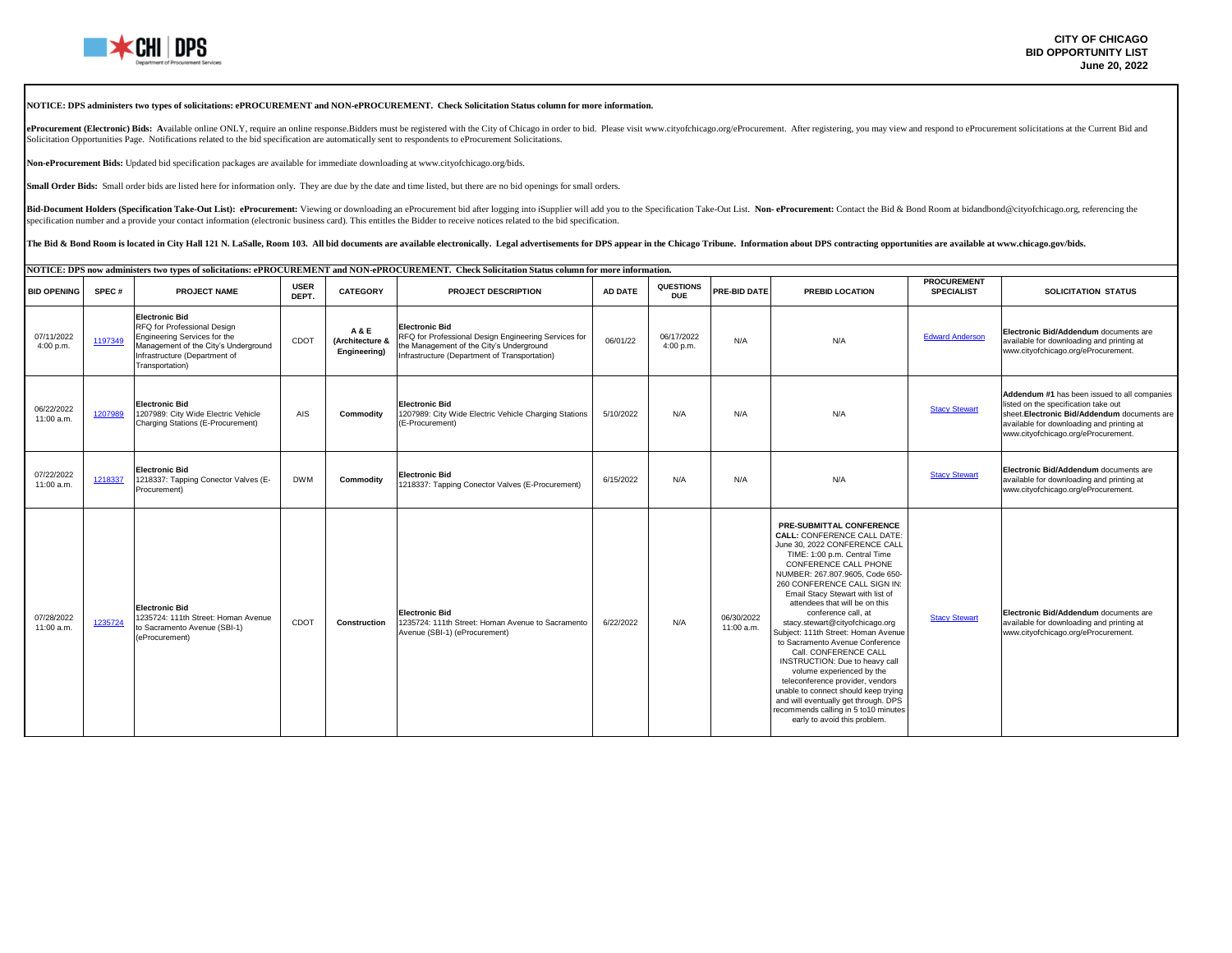

#### **NOTICE: DPS administers two types of solicitations: ePROCUREMENT and NON-ePROCUREMENT. Check Solicitation Status column for more information.**

eProcurement (Electronic) Bids: Available online ONLY, require an online response.Bidders must be registered with the City of Chicago in order to bid. Please visit www.cityofchicago.org/eProcurement. After registering, you Solicitation Opportunities Page. Notifications related to the bid specification are automatically sent to respondents to eProcurement Solicitations.

**Non-eProcurement Bids:** Updated bid specification packages are available for immediate downloading at www.cityofchicago.org/bids.

**Small Order Bids:** Small order bids are listed here for information only. They are due by the date and time listed, but there are no bid openings for small orders.

Bid-Document Holders (Specification Take-Out List): eProcurement: Viewing or downloading an eProcurement bid after logging into iSupplier will add you to the Specification Take-Out List. Non-eProcurement: Contact the Bid & specification number and a provide your contact information (electronic business card). This entitles the Bidder to receive notices related to the bid specification.

The Bid & Bond Room is located in City Hall 121 N. LaSalle, Room 103. All bid documents are available electronically. Legal advertisements for DPS appear in the Chicago Tribune. Information about DPS contracting opportunit

| NOTICE: DPS now administers two types of solicitations: ePROCUREMENT and NON-ePROCUREMENT. Check Solicitation Status column for more information. |         |                                                                                                                                                                                  |                      |                                                   |                                                                                                                                                                            |           |                         |                          |                                                                                                                                                                                                                                                                                                                                                                                                                                                                                                                                                                                                                                                                                                                           |                                         |                                                                                                                                                                                                                          |
|---------------------------------------------------------------------------------------------------------------------------------------------------|---------|----------------------------------------------------------------------------------------------------------------------------------------------------------------------------------|----------------------|---------------------------------------------------|----------------------------------------------------------------------------------------------------------------------------------------------------------------------------|-----------|-------------------------|--------------------------|---------------------------------------------------------------------------------------------------------------------------------------------------------------------------------------------------------------------------------------------------------------------------------------------------------------------------------------------------------------------------------------------------------------------------------------------------------------------------------------------------------------------------------------------------------------------------------------------------------------------------------------------------------------------------------------------------------------------------|-----------------------------------------|--------------------------------------------------------------------------------------------------------------------------------------------------------------------------------------------------------------------------|
| <b>BID OPENING</b>                                                                                                                                | SPEC#   | <b>PROJECT NAME</b>                                                                                                                                                              | <b>USER</b><br>DEPT. | <b>CATEGORY</b>                                   | <b>PROJECT DESCRIPTION</b>                                                                                                                                                 | AD DATE   | QUESTIONS<br><b>DUE</b> | PRE-BID DATE             | <b>PREBID LOCATION</b>                                                                                                                                                                                                                                                                                                                                                                                                                                                                                                                                                                                                                                                                                                    | <b>PROCUREMENT</b><br><b>SPECIALIST</b> | <b>SOLICITATION STATUS</b>                                                                                                                                                                                               |
| 07/11/2022<br>4:00 p.m.                                                                                                                           | 1197349 | <b>Electronic Bid</b><br>RFQ for Professional Design<br>Engineering Services for the<br>Management of the City's Underground<br>Infrastructure (Department of<br>Transportation) | CDOT                 | <b>A&amp;E</b><br>(Architecture &<br>Engineering) | <b>Electronic Bid</b><br>RFQ for Professional Design Engineering Services for<br>the Management of the City's Underground<br>Infrastructure (Department of Transportation) | 06/01/22  | 06/17/2022<br>4:00 p.m. | N/A                      | N/A                                                                                                                                                                                                                                                                                                                                                                                                                                                                                                                                                                                                                                                                                                                       | <b>Edward Anderson</b>                  | Electronic Bid/Addendum documents are<br>available for downloading and printing at<br>www.cityofchicago.org/eProcurement.                                                                                                |
| 06/22/2022<br>11:00 a.m.                                                                                                                          | 1207989 | <b>Electronic Bid</b><br>1207989: City Wide Electric Vehicle<br>Charging Stations (E-Procurement)                                                                                | AIS                  | Commodity                                         | <b>Electronic Bid</b><br>1207989: City Wide Electric Vehicle Charging Stations<br>(E-Procurement)                                                                          | 5/10/2022 | N/A                     | N/A                      | N/A                                                                                                                                                                                                                                                                                                                                                                                                                                                                                                                                                                                                                                                                                                                       | <b>Stacy Stewart</b>                    | Addendum #1 has been issued to all companies<br>listed on the specification take out<br>sheet. Electronic Bid/Addendum documents are<br>available for downloading and printing at<br>www.cityofchicago.org/eProcurement. |
| 07/22/2022<br>11:00 a.m.                                                                                                                          | 1218337 | <b>Electronic Bid</b><br>1218337: Tapping Conector Valves (E-<br>Procurement)                                                                                                    | <b>DWM</b>           | Commodity                                         | <b>Electronic Bid</b><br>1218337: Tapping Conector Valves (E-Procurement)                                                                                                  | 6/15/2022 | N/A                     | N/A                      | N/A                                                                                                                                                                                                                                                                                                                                                                                                                                                                                                                                                                                                                                                                                                                       | <b>Stacy Stewart</b>                    | Electronic Bid/Addendum documents are<br>available for downloading and printing at<br>www.cityofchicago.org/eProcurement.                                                                                                |
| 07/28/2022<br>11:00 a.m.                                                                                                                          | 1235724 | <b>Electronic Bid</b><br>1235724: 111th Street: Homan Avenue<br>to Sacramento Avenue (SBI-1)<br>(eProcurement)                                                                   | CDOT                 | Construction                                      | <b>Electronic Bid</b><br>1235724: 111th Street: Homan Avenue to Sacramento<br>Avenue (SBI-1) (eProcurement)                                                                | 6/22/2022 | N/A                     | 06/30/2022<br>11:00 a.m. | PRE-SUBMITTAL CONFERENCE<br><b>CALL: CONFERENCE CALL DATE:</b><br>June 30, 2022 CONFERENCE CALL<br>TIME: 1:00 p.m. Central Time<br>CONFERENCE CALL PHONE<br>NUMBER: 267.807.9605. Code 650-<br>260 CONFERENCE CALL SIGN IN:<br>Email Stacy Stewart with list of<br>attendees that will be on this<br>conference call, at<br>stacy.stewart@cityofchicago.org<br>Subject: 111th Street: Homan Avenue<br>to Sacramento Avenue Conference<br>Call. CONFERENCE CALL<br>INSTRUCTION: Due to heavy call<br>volume experienced by the<br>teleconference provider, vendors<br>unable to connect should keep trying<br>and will eventually get through. DPS<br>recommends calling in 5 to10 minutes<br>early to avoid this problem. | <b>Stacy Stewart</b>                    | Electronic Bid/Addendum documents are<br>available for downloading and printing at<br>www.cityofchicago.org/eProcurement.                                                                                                |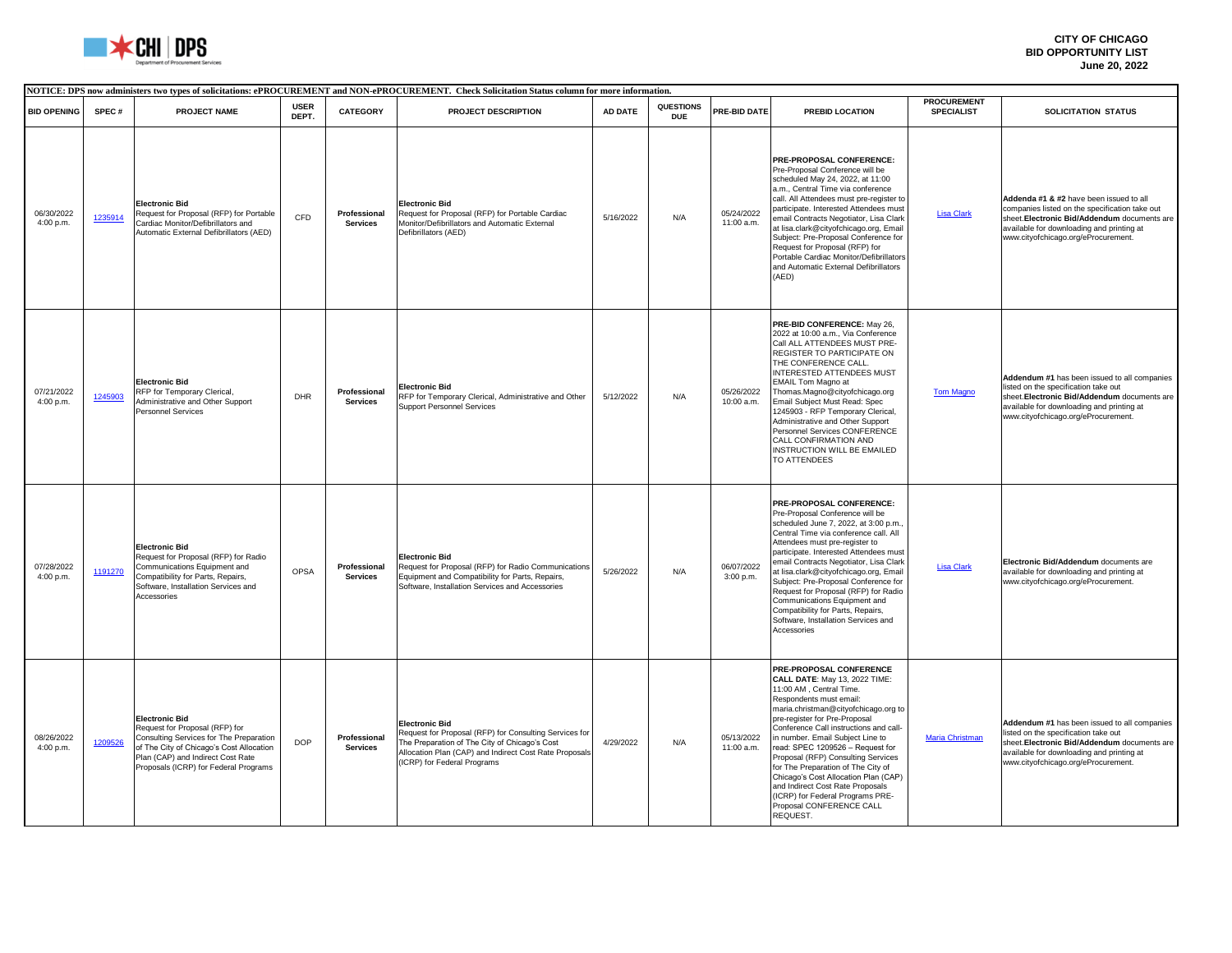

|                         | NOTICE: DPS now administers two types of solicitations: ePROCUREMENT and NON-ePROCUREMENT. Check Solicitation Status column for more information. |                                                                                                                                                                                                                              |                      |                                 |                                                                                                                                                                                                                           |           |                                |                          |                                                                                                                                                                                                                                                                                                                                                                                                                                                                                                                                                      |                                         |                                                                                                                                                                                                                               |
|-------------------------|---------------------------------------------------------------------------------------------------------------------------------------------------|------------------------------------------------------------------------------------------------------------------------------------------------------------------------------------------------------------------------------|----------------------|---------------------------------|---------------------------------------------------------------------------------------------------------------------------------------------------------------------------------------------------------------------------|-----------|--------------------------------|--------------------------|------------------------------------------------------------------------------------------------------------------------------------------------------------------------------------------------------------------------------------------------------------------------------------------------------------------------------------------------------------------------------------------------------------------------------------------------------------------------------------------------------------------------------------------------------|-----------------------------------------|-------------------------------------------------------------------------------------------------------------------------------------------------------------------------------------------------------------------------------|
| <b>BID OPENING</b>      | SPEC#                                                                                                                                             | <b>PROJECT NAME</b>                                                                                                                                                                                                          | <b>USER</b><br>DEPT. | <b>CATEGORY</b>                 | PROJECT DESCRIPTION                                                                                                                                                                                                       | AD DATE   | <b>QUESTIONS</b><br><b>DUE</b> | PRE-BID DATE             | PREBID LOCATION                                                                                                                                                                                                                                                                                                                                                                                                                                                                                                                                      | <b>PROCUREMENT</b><br><b>SPECIALIST</b> | <b>SOLICITATION STATUS</b>                                                                                                                                                                                                    |
| 06/30/2022<br>4:00 p.m. | 1235914                                                                                                                                           | <b>Electronic Bid</b><br>Request for Proposal (RFP) for Portable<br>Cardiac Monitor/Defibrillators and<br>Automatic External Defibrillators (AED)                                                                            | CFD                  | Professional<br><b>Services</b> | <b>Electronic Bid</b><br>Request for Proposal (RFP) for Portable Cardiac<br>Monitor/Defibrillators and Automatic External<br>Defibrillators (AED)                                                                         | 5/16/2022 | N/A                            | 05/24/2022<br>11:00 a.m. | PRE-PROPOSAL CONFERENCE:<br>Pre-Proposal Conference will be<br>scheduled May 24, 2022, at 11:00<br>a.m., Central Time via conference<br>call. All Attendees must pre-register to<br>participate. Interested Attendees must<br>email Contracts Negotiator, Lisa Clark<br>at lisa.clark@cityofchicago.org, Email<br>Subject: Pre-Proposal Conference for<br>Request for Proposal (RFP) for<br>Portable Cardiac Monitor/Defibrillators<br>and Automatic External Defibrillators<br>(AED)                                                                | <b>Lisa Clark</b>                       | Addenda #1 & #2 have been issued to all<br>companies listed on the specification take out<br>sheet. Electronic Bid/Addendum documents are<br>available for downloading and printing at<br>www.cityofchicago.org/eProcurement. |
| 07/21/2022<br>4:00 p.m. | 1245903                                                                                                                                           | <b>Electronic Bid</b><br>RFP for Temporary Clerical,<br>Administrative and Other Support<br>Personnel Services                                                                                                               | <b>DHR</b>           | Professional<br><b>Services</b> | <b>Electronic Bid</b><br>RFP for Temporary Clerical, Administrative and Other<br><b>Support Personnel Services</b>                                                                                                        | 5/12/2022 | N/A                            | 05/26/2022<br>10:00 a.m. | PRE-BID CONFERENCE: May 26,<br>2022 at 10:00 a.m., Via Conference<br>Call ALL ATTENDEES MUST PRE-<br>REGISTER TO PARTICIPATE ON<br>THE CONFERENCE CALL.<br><b>INTERESTED ATTENDEES MUST</b><br><b>EMAIL Tom Magno at</b><br>Thomas.Magno@cityofchicago.org<br>Email Subject Must Read: Spec<br>1245903 - RFP Temporary Clerical,<br>Administrative and Other Support<br>Personnel Services CONFERENCE<br>CALL CONFIRMATION AND<br>INSTRUCTION WILL BE EMAILED<br>TO ATTENDEES                                                                        | <b>Tom Magno</b>                        | Addendum #1 has been issued to all companies<br>listed on the specification take out<br>sheet. Electronic Bid/Addendum documents are<br>available for downloading and printing at<br>www.cityofchicago.org/eProcurement.      |
| 07/28/2022<br>4:00 p.m. | 1191270                                                                                                                                           | <b>Electronic Bid</b><br>Request for Proposal (RFP) for Radio<br>Communications Equipment and<br>Compatibility for Parts, Repairs,<br>Software, Installation Services and<br>Accessories                                     | OPSA                 | Professional<br><b>Services</b> | <b>Electronic Bid</b><br>Request for Proposal (RFP) for Radio Communications<br>Equipment and Compatibility for Parts, Repairs,<br>Software, Installation Services and Accessories                                        | 5/26/2022 | N/A                            | 06/07/2022<br>3:00 p.m.  | PRE-PROPOSAL CONFERENCE:<br>Pre-Proposal Conference will be<br>scheduled June 7, 2022, at 3:00 p.m.<br>Central Time via conference call. All<br>Attendees must pre-register to<br>participate. Interested Attendees must<br>email Contracts Negotiator, Lisa Clark<br>at lisa.clark@cityofchicago.org, Email<br>Subject: Pre-Proposal Conference for<br>Request for Proposal (RFP) for Radio<br>Communications Equipment and<br>Compatibility for Parts, Repairs,<br>Software, Installation Services and<br>Accessories                              | <b>Lisa Clark</b>                       | Electronic Bid/Addendum documents are<br>available for downloading and printing at<br>www.cityofchicago.org/eProcurement.                                                                                                     |
| 08/26/2022<br>4:00 p.m. | 1209526                                                                                                                                           | <b>Electronic Bid</b><br>Request for Proposal (RFP) for<br>Consulting Services for The Preparation<br>of The City of Chicago's Cost Allocation<br>Plan (CAP) and Indirect Cost Rate<br>Proposals (ICRP) for Federal Programs | <b>DOP</b>           | Professional<br><b>Services</b> | <b>Electronic Bid</b><br>Request for Proposal (RFP) for Consulting Services for<br>The Preparation of The City of Chicago's Cost<br>Allocation Plan (CAP) and Indirect Cost Rate Proposals<br>(ICRP) for Federal Programs | 4/29/2022 | N/A                            | 05/13/2022<br>11:00 a.m. | PRE-PROPOSAL CONFERENCE<br><b>CALL DATE: May 13, 2022 TIME:</b><br>11:00 AM, Central Time.<br>Respondents must email:<br>maria.christman@cityofchicago.org to<br>pre-register for Pre-Proposal<br>Conference Call instructions and call-<br>in number. Email Subiect Line to<br>read: SPEC 1209526 - Request for<br>Proposal (RFP) Consulting Services<br>for The Preparation of The City of<br>Chicago's Cost Allocation Plan (CAP)<br>and Indirect Cost Rate Proposals<br>(ICRP) for Federal Programs PRE-<br>Proposal CONFERENCE CALL<br>REQUEST. | Maria Christman                         | Addendum #1 has been issued to all companies<br>listed on the specification take out<br>sheet. Electronic Bid/Addendum documents are<br>available for downloading and printing at<br>www.cityofchicago.org/eProcurement.      |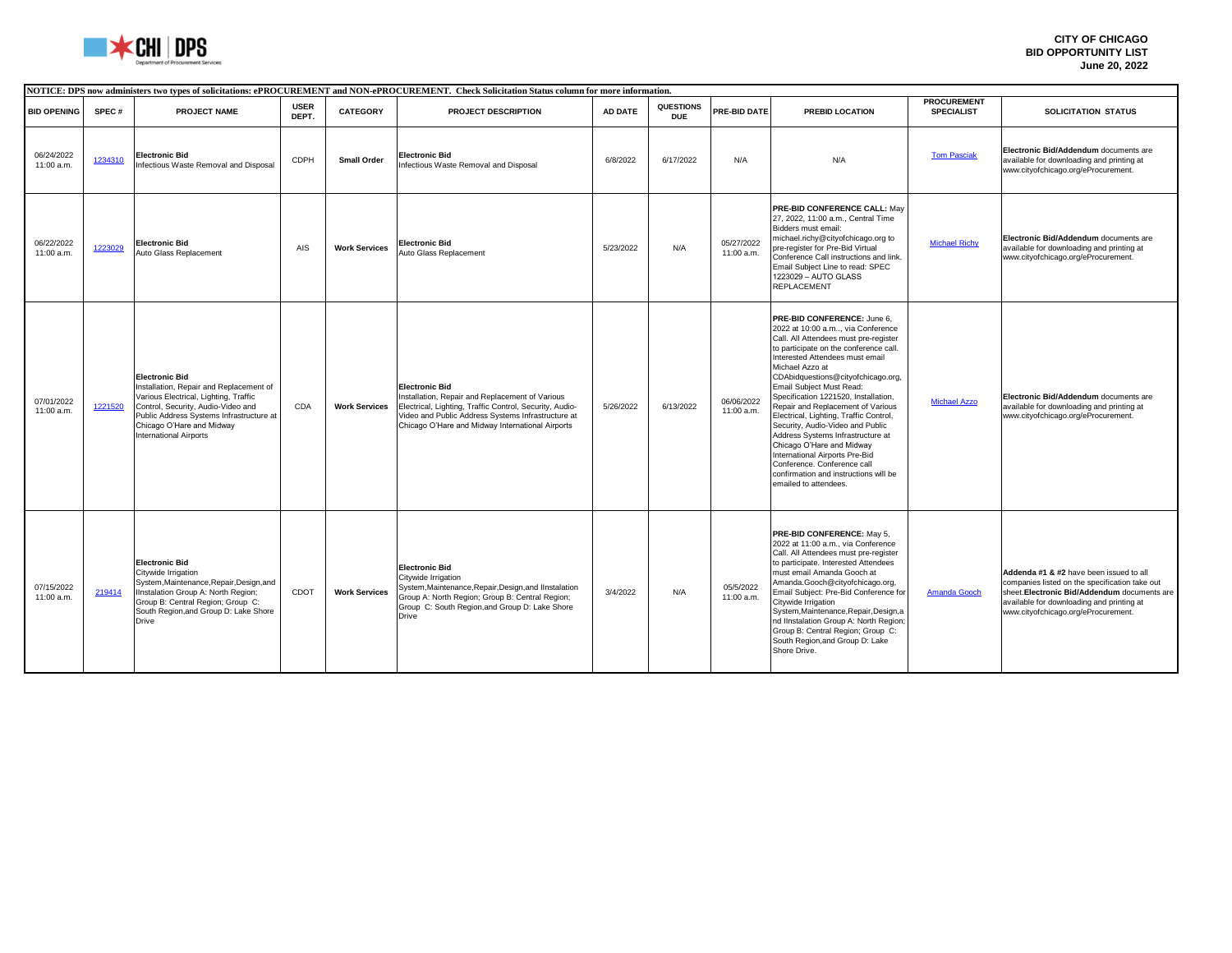

|                          | NOTICE: DPS now administers two types of solicitations: ePROCUREMENT and NON-ePROCUREMENT. Check Solicitation Status column for more information. |                                                                                                                                                                                                                                                           |                      |                      |                                                                                                                                                                                                                                               |           |                         |                          |                                                                                                                                                                                                                                                                                                                                                                                                                                                                                                                                                                                                                                            |                                         |                                                                                                                                                                                                                               |
|--------------------------|---------------------------------------------------------------------------------------------------------------------------------------------------|-----------------------------------------------------------------------------------------------------------------------------------------------------------------------------------------------------------------------------------------------------------|----------------------|----------------------|-----------------------------------------------------------------------------------------------------------------------------------------------------------------------------------------------------------------------------------------------|-----------|-------------------------|--------------------------|--------------------------------------------------------------------------------------------------------------------------------------------------------------------------------------------------------------------------------------------------------------------------------------------------------------------------------------------------------------------------------------------------------------------------------------------------------------------------------------------------------------------------------------------------------------------------------------------------------------------------------------------|-----------------------------------------|-------------------------------------------------------------------------------------------------------------------------------------------------------------------------------------------------------------------------------|
| <b>BID OPENING</b>       | SPEC#                                                                                                                                             | PROJECT NAME                                                                                                                                                                                                                                              | <b>USER</b><br>DEPT. | <b>CATEGORY</b>      | <b>PROJECT DESCRIPTION</b>                                                                                                                                                                                                                    | AD DATE   | QUESTIONS<br><b>DUE</b> | PRE-BID DATE             | <b>PREBID LOCATION</b>                                                                                                                                                                                                                                                                                                                                                                                                                                                                                                                                                                                                                     | <b>PROCUREMENT</b><br><b>SPECIALIST</b> | SOLICITATION STATUS                                                                                                                                                                                                           |
| 06/24/2022<br>11:00 a.m. | 1234310                                                                                                                                           | <b>Electronic Bid</b><br>Infectious Waste Removal and Disposal                                                                                                                                                                                            | <b>CDPH</b>          | Small Order          | <b>Electronic Bid</b><br>Infectious Waste Removal and Disposal                                                                                                                                                                                | 6/8/2022  | 6/17/2022               | N/A                      | N/A                                                                                                                                                                                                                                                                                                                                                                                                                                                                                                                                                                                                                                        | <b>Tom Pasciak</b>                      | Electronic Bid/Addendum documents are<br>available for downloading and printing at<br>www.cityofchicago.org/eProcurement.                                                                                                     |
| 06/22/2022<br>11:00 a.m. | 1223029                                                                                                                                           | <b>Electronic Bid</b><br>Auto Glass Replacement                                                                                                                                                                                                           | AIS                  | <b>Work Services</b> | <b>Electronic Bid</b><br>Auto Glass Replacement                                                                                                                                                                                               | 5/23/2022 | N/A                     | 05/27/2022<br>11:00 a.m. | <b>PRE-BID CONFERENCE CALL: May</b><br>27, 2022, 11:00 a.m., Central Time<br>Bidders must email:<br>michael.richy@cityofchicago.org to<br>pre-register for Pre-Bid Virtual<br>Conference Call instructions and link.<br>Email Subject Line to read: SPEC<br>1223029 - AUTO GLASS<br><b>REPLACEMENT</b>                                                                                                                                                                                                                                                                                                                                     | <b>Michael Richy</b>                    | Electronic Bid/Addendum documents are<br>available for downloading and printing at<br>www.cityofchicago.org/eProcurement.                                                                                                     |
| 07/01/2022<br>11:00 a.m. | 1221520                                                                                                                                           | <b>Electronic Bid</b><br>Installation, Repair and Replacement of<br>Various Electrical, Lighting, Traffic<br>Control, Security, Audio-Video and<br>Public Address Systems Infrastructure at<br>Chicago O'Hare and Midway<br><b>International Airports</b> | CDA                  | <b>Work Services</b> | <b>Electronic Bid</b><br>Installation, Repair and Replacement of Various<br>Electrical, Lighting, Traffic Control, Security, Audio-<br>Video and Public Address Systems Infrastructure at<br>Chicago O'Hare and Midway International Airports | 5/26/2022 | 6/13/2022               | 06/06/2022<br>11:00 a.m. | PRE-BID CONFERENCE: June 6.<br>2022 at 10:00 a.m via Conference<br>Call. All Attendees must pre-register<br>to participate on the conference call.<br>Interested Attendees must email<br>Michael Azzo at<br>CDAbidquestions@cityofchicago.org,<br>Email Subiect Must Read:<br>Specification 1221520, Installation,<br>Repair and Replacement of Various<br>Electrical, Lighting, Traffic Control,<br>Security, Audio-Video and Public<br>Address Systems Infrastructure at<br>Chicago O'Hare and Midway<br>International Airports Pre-Bid<br>Conference. Conference call<br>confirmation and instructions will be<br>emailed to attendees. | <b>Michael Azzo</b>                     | Electronic Bid/Addendum documents are<br>available for downloading and printing at<br>www.cityofchicago.org/eProcurement.                                                                                                     |
| 07/15/2022<br>11:00 a.m. | 219414                                                                                                                                            | <b>Electronic Bid</b><br>Citywide Irrigation<br>System, Maintenance, Repair, Design, and<br>Ilnstalation Group A: North Region;<br>Group B: Central Region; Group C:<br>South Region, and Group D: Lake Shore<br><b>Drive</b>                             | CDOT                 | <b>Work Services</b> | <b>Electronic Bid</b><br>Citywide Irrigation<br>System, Maintenance, Repair, Design, and IInstalation<br>Group A: North Region; Group B: Central Region;<br>Group C: South Region, and Group D: Lake Shore<br>Drive                           | 3/4/2022  | N/A                     | 05/5/2022<br>11:00 a.m.  | PRE-BID CONFERENCE: May 5,<br>2022 at 11:00 a.m., via Conference<br>Call. All Attendees must pre-register<br>to participate. Interested Attendees<br>must email Amanda Gooch at<br>Amanda.Gooch@cityofchicago.org,<br>Email Subject: Pre-Bid Conference for<br>Citywide Irrigation<br>System, Maintenance, Repair, Design, a<br>nd IInstalation Group A: North Region;<br>Group B: Central Region; Group C:<br>South Region, and Group D: Lake<br>Shore Drive.                                                                                                                                                                             | Amanda Gooch                            | Addenda #1 & #2 have been issued to all<br>companies listed on the specification take out<br>sheet. Electronic Bid/Addendum documents are<br>available for downloading and printing at<br>www.cityofchicago.org/eProcurement. |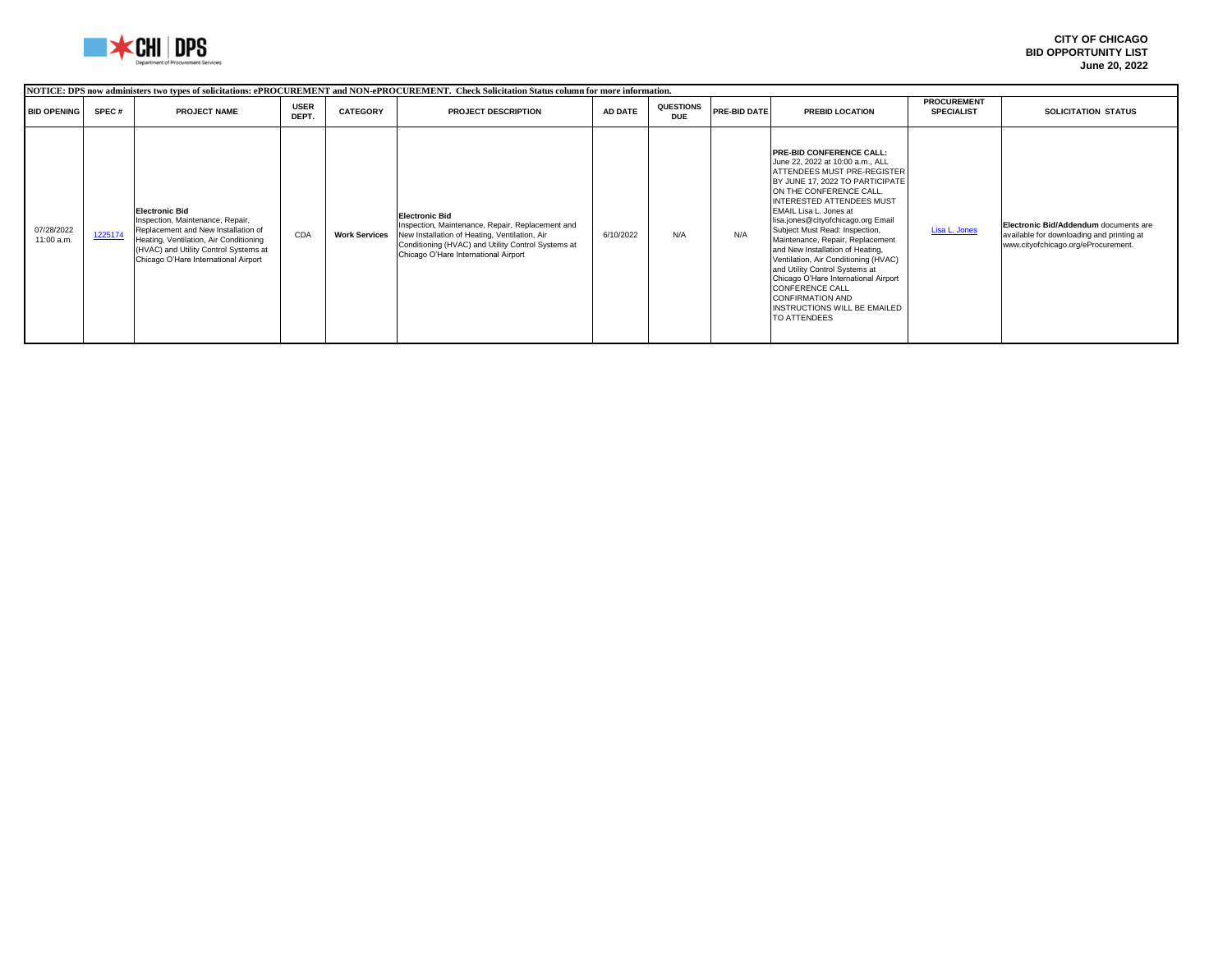

| NOTICE: DPS now administers two types of solicitations: ePROCUREMENT and NON-ePROCUREMENT. Check Solicitation Status column for more information. |         |                                                                                                                                                                                                                             |                      |                      |                                                                                                                                                                                                                          |           |                         |              |                                                                                                                                                                                                                                                                                                                                                                                                                                                                                                                                                                                                       |                                         |                                                                                                                           |
|---------------------------------------------------------------------------------------------------------------------------------------------------|---------|-----------------------------------------------------------------------------------------------------------------------------------------------------------------------------------------------------------------------------|----------------------|----------------------|--------------------------------------------------------------------------------------------------------------------------------------------------------------------------------------------------------------------------|-----------|-------------------------|--------------|-------------------------------------------------------------------------------------------------------------------------------------------------------------------------------------------------------------------------------------------------------------------------------------------------------------------------------------------------------------------------------------------------------------------------------------------------------------------------------------------------------------------------------------------------------------------------------------------------------|-----------------------------------------|---------------------------------------------------------------------------------------------------------------------------|
| <b>BID OPENING</b>                                                                                                                                | SPEC#   | <b>PROJECT NAME</b>                                                                                                                                                                                                         | <b>USER</b><br>DEPT. | <b>CATEGORY</b>      | <b>PROJECT DESCRIPTION</b>                                                                                                                                                                                               | AD DATE   | QUESTIONS<br><b>DUE</b> | PRE-BID DATE | <b>PREBID LOCATION</b>                                                                                                                                                                                                                                                                                                                                                                                                                                                                                                                                                                                | <b>PROCUREMENT</b><br><b>SPECIALIST</b> | SOLICITATION STATUS                                                                                                       |
| 07/28/2022<br>11:00 a.m.                                                                                                                          | 1225174 | <b>Electronic Bid</b><br>Inspection, Maintenance, Repair,<br>Replacement and New Installation of<br>Heating, Ventilation, Air Conditioning<br>(HVAC) and Utility Control Systems at<br>Chicago O'Hare International Airport | CDA                  | <b>Work Services</b> | <b>Electronic Bid</b><br>Inspection, Maintenance, Repair, Replacement and<br>New Installation of Heating, Ventilation, Air<br>Conditioning (HVAC) and Utility Control Systems at<br>Chicago O'Hare International Airport | 6/10/2022 | N/A                     | N/A          | <b>PRE-BID CONFERENCE CALL:</b><br>June 22, 2022 at 10:00 a.m., ALL<br>ATTENDEES MUST PRE-REGISTER<br>BY JUNE 17, 2022 TO PARTICIPATE<br>ON THE CONFERENCE CALL.<br>INTERESTED ATTENDEES MUST<br>EMAIL Lisa L. Jones at<br>lisa.jones@cityofchicago.org Email<br>Subject Must Read: Inspection,<br>Maintenance, Repair, Replacement<br>and New Installation of Heating,<br>Ventilation, Air Conditioning (HVAC)<br>and Utility Control Systems at<br>Chicago O'Hare International Airport<br><b>CONFERENCE CALL</b><br><b>CONFIRMATION AND</b><br><b>INSTRUCTIONS WILL BE EMAILED</b><br>TO ATTENDEES | Lisa L. Jones                           | Electronic Bid/Addendum documents are<br>available for downloading and printing at<br>www.cityofchicago.org/eProcurement. |